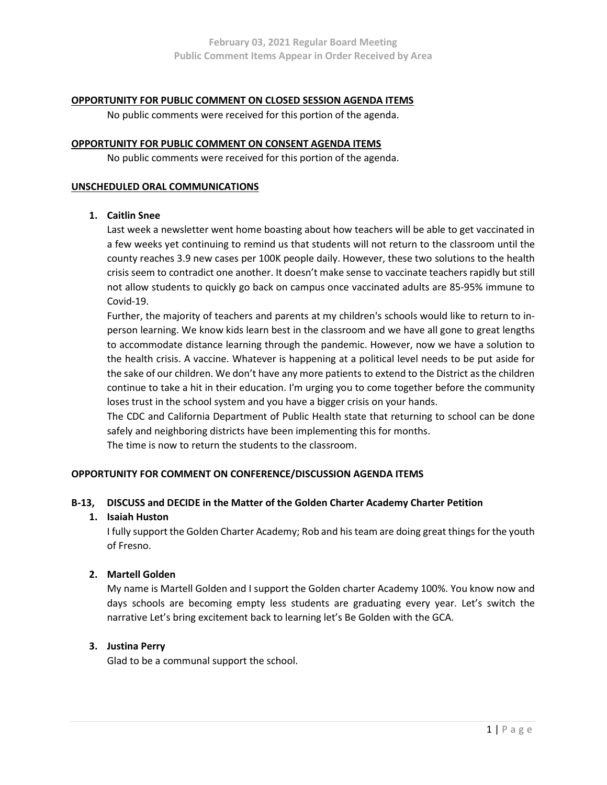## OPPORTUNITY FOR PUBLIC COMMENT ON CLOSED SESSION AGENDA ITEMS

No public comments were received for this portion of the agenda.

### OPPORTUNITY FOR PUBLIC COMMENT ON CONSENT AGENDA ITEMS

No public comments were received for this portion of the agenda.

### UNSCHEDULED ORAL COMMUNICATIONS

## 1. Caitlin Snee

Last week a newsletter went home boasting about how teachers will be able to get vaccinated in a few weeks yet continuing to remind us that students will not return to the classroom until the county reaches 3.9 new cases per 100K people daily. However, these two solutions to the health crisis seem to contradict one another. It doesn't make sense to vaccinate teachers rapidly but still not allow students to quickly go back on campus once vaccinated adults are 85-95% immune to Covid-19.

Further, the majority of teachers and parents at my children's schools would like to return to inperson learning. We know kids learn best in the classroom and we have all gone to great lengths to accommodate distance learning through the pandemic. However, now we have a solution to the health crisis. A vaccine. Whatever is happening at a political level needs to be put aside for the sake of our children. We don't have any more patients to extend to the District as the children continue to take a hit in their education. I'm urging you to come together before the community loses trust in the school system and you have a bigger crisis on your hands.

The CDC and California Department of Public Health state that returning to school can be done safely and neighboring districts have been implementing this for months.

The time is now to return the students to the classroom.

## OPPORTUNITY FOR COMMENT ON CONFERENCE/DISCUSSION AGENDA ITEMS

## B-13, DISCUSS and DECIDE in the Matter of the Golden Charter Academy Charter Petition

## 1. Isaiah Huston

I fully support the Golden Charter Academy; Rob and his team are doing great things for the youth of Fresno.

# 2. Martell Golden

My name is Martell Golden and I support the Golden charter Academy 100%. You know now and days schools are becoming empty less students are graduating every year. Let's switch the narrative Let's bring excitement back to learning let's Be Golden with the GCA.

## 3. Justina Perry

Glad to be a communal support the school.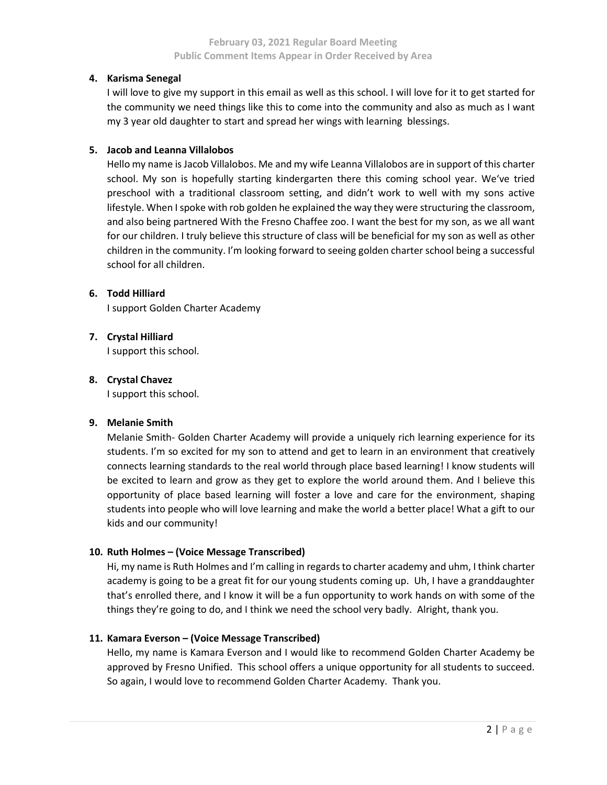### 4. Karisma Senegal

I will love to give my support in this email as well as this school. I will love for it to get started for the community we need things like this to come into the community and also as much as I want my 3 year old daughter to start and spread her wings with learning blessings.

### 5. Jacob and Leanna Villalobos

Hello my name is Jacob Villalobos. Me and my wife Leanna Villalobos are in support of this charter school. My son is hopefully starting kindergarten there this coming school year. We've tried preschool with a traditional classroom setting, and didn't work to well with my sons active lifestyle. When I spoke with rob golden he explained the way they were structuring the classroom, and also being partnered With the Fresno Chaffee zoo. I want the best for my son, as we all want for our children. I truly believe this structure of class will be beneficial for my son as well as other children in the community. I'm looking forward to seeing golden charter school being a successful school for all children.

### 6. Todd Hilliard

I support Golden Charter Academy

# 7. Crystal Hilliard

I support this school.

### 8. Crystal Chavez

I support this school.

# 9. Melanie Smith

Melanie Smith- Golden Charter Academy will provide a uniquely rich learning experience for its students. I'm so excited for my son to attend and get to learn in an environment that creatively connects learning standards to the real world through place based learning! I know students will be excited to learn and grow as they get to explore the world around them. And I believe this opportunity of place based learning will foster a love and care for the environment, shaping students into people who will love learning and make the world a better place! What a gift to our kids and our community!

## 10. Ruth Holmes – (Voice Message Transcribed)

Hi, my name is Ruth Holmes and I'm calling in regards to charter academy and uhm, I think charter academy is going to be a great fit for our young students coming up. Uh, I have a granddaughter that's enrolled there, and I know it will be a fun opportunity to work hands on with some of the things they're going to do, and I think we need the school very badly. Alright, thank you.

## 11. Kamara Everson – (Voice Message Transcribed)

Hello, my name is Kamara Everson and I would like to recommend Golden Charter Academy be approved by Fresno Unified. This school offers a unique opportunity for all students to succeed. So again, I would love to recommend Golden Charter Academy. Thank you.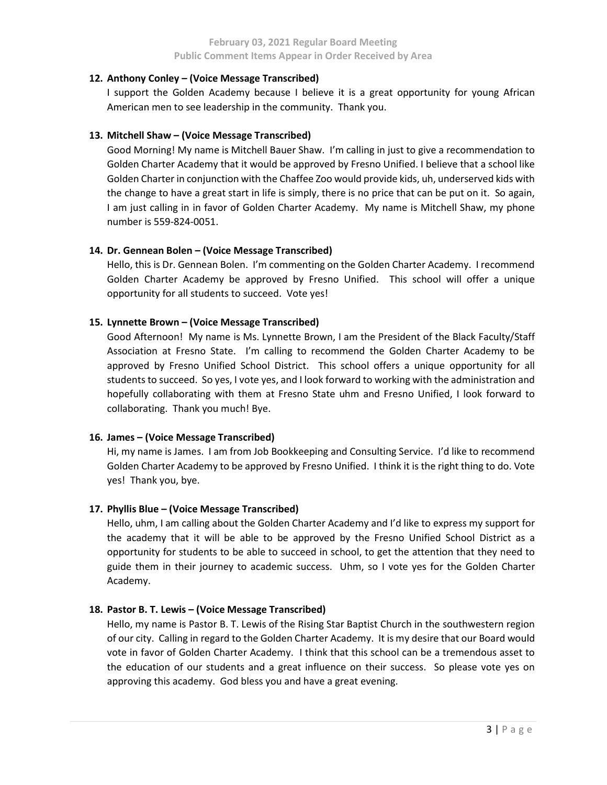## 12. Anthony Conley – (Voice Message Transcribed)

I support the Golden Academy because I believe it is a great opportunity for young African American men to see leadership in the community. Thank you.

# 13. Mitchell Shaw – (Voice Message Transcribed)

Good Morning! My name is Mitchell Bauer Shaw. I'm calling in just to give a recommendation to Golden Charter Academy that it would be approved by Fresno Unified. I believe that a school like Golden Charter in conjunction with the Chaffee Zoo would provide kids, uh, underserved kids with the change to have a great start in life is simply, there is no price that can be put on it. So again, I am just calling in in favor of Golden Charter Academy. My name is Mitchell Shaw, my phone number is 559-824-0051.

# 14. Dr. Gennean Bolen – (Voice Message Transcribed)

Hello, this is Dr. Gennean Bolen. I'm commenting on the Golden Charter Academy. I recommend Golden Charter Academy be approved by Fresno Unified. This school will offer a unique opportunity for all students to succeed. Vote yes!

# 15. Lynnette Brown – (Voice Message Transcribed)

Good Afternoon! My name is Ms. Lynnette Brown, I am the President of the Black Faculty/Staff Association at Fresno State. I'm calling to recommend the Golden Charter Academy to be approved by Fresno Unified School District. This school offers a unique opportunity for all students to succeed. So yes, I vote yes, and I look forward to working with the administration and hopefully collaborating with them at Fresno State uhm and Fresno Unified, I look forward to collaborating. Thank you much! Bye.

## 16. James – (Voice Message Transcribed)

Hi, my name is James. I am from Job Bookkeeping and Consulting Service. I'd like to recommend Golden Charter Academy to be approved by Fresno Unified. I think it is the right thing to do. Vote yes! Thank you, bye.

## 17. Phyllis Blue – (Voice Message Transcribed)

Hello, uhm, I am calling about the Golden Charter Academy and I'd like to express my support for the academy that it will be able to be approved by the Fresno Unified School District as a opportunity for students to be able to succeed in school, to get the attention that they need to guide them in their journey to academic success. Uhm, so I vote yes for the Golden Charter Academy.

## 18. Pastor B. T. Lewis – (Voice Message Transcribed)

Hello, my name is Pastor B. T. Lewis of the Rising Star Baptist Church in the southwestern region of our city. Calling in regard to the Golden Charter Academy. It is my desire that our Board would vote in favor of Golden Charter Academy. I think that this school can be a tremendous asset to the education of our students and a great influence on their success. So please vote yes on approving this academy. God bless you and have a great evening.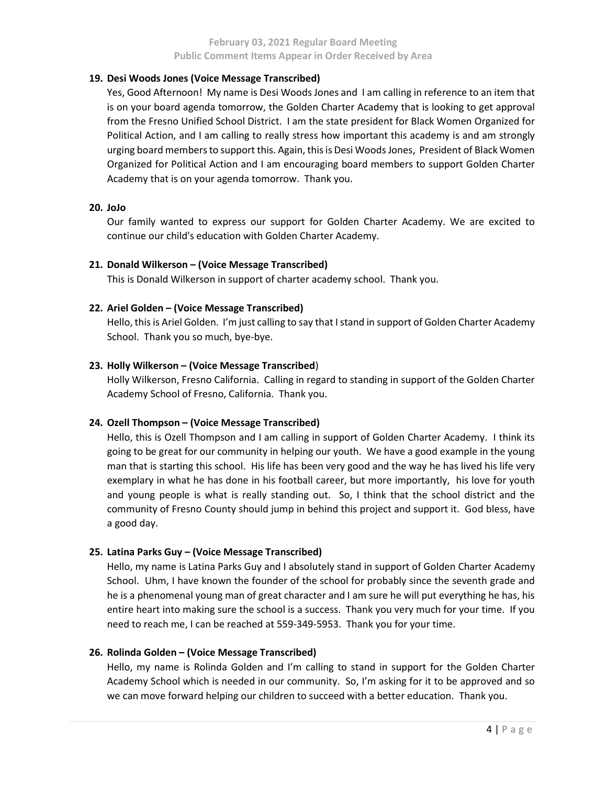## 19. Desi Woods Jones (Voice Message Transcribed)

Yes, Good Afternoon! My name is Desi Woods Jones and I am calling in reference to an item that is on your board agenda tomorrow, the Golden Charter Academy that is looking to get approval from the Fresno Unified School District. I am the state president for Black Women Organized for Political Action, and I am calling to really stress how important this academy is and am strongly urging board members to support this. Again, this is Desi Woods Jones, President of Black Women Organized for Political Action and I am encouraging board members to support Golden Charter Academy that is on your agenda tomorrow. Thank you.

### 20. JoJo

Our family wanted to express our support for Golden Charter Academy. We are excited to continue our child's education with Golden Charter Academy.

## 21. Donald Wilkerson – (Voice Message Transcribed)

This is Donald Wilkerson in support of charter academy school. Thank you.

## 22. Ariel Golden – (Voice Message Transcribed)

Hello, this is Ariel Golden. I'm just calling to say that I stand in support of Golden Charter Academy School. Thank you so much, bye-bye.

### 23. Holly Wilkerson – (Voice Message Transcribed)

Holly Wilkerson, Fresno California. Calling in regard to standing in support of the Golden Charter Academy School of Fresno, California. Thank you.

## 24. Ozell Thompson – (Voice Message Transcribed)

Hello, this is Ozell Thompson and I am calling in support of Golden Charter Academy. I think its going to be great for our community in helping our youth. We have a good example in the young man that is starting this school. His life has been very good and the way he has lived his life very exemplary in what he has done in his football career, but more importantly, his love for youth and young people is what is really standing out. So, I think that the school district and the community of Fresno County should jump in behind this project and support it. God bless, have a good day.

## 25. Latina Parks Guy – (Voice Message Transcribed)

Hello, my name is Latina Parks Guy and I absolutely stand in support of Golden Charter Academy School. Uhm, I have known the founder of the school for probably since the seventh grade and he is a phenomenal young man of great character and I am sure he will put everything he has, his entire heart into making sure the school is a success. Thank you very much for your time. If you need to reach me, I can be reached at 559-349-5953. Thank you for your time.

#### 26. Rolinda Golden – (Voice Message Transcribed)

Hello, my name is Rolinda Golden and I'm calling to stand in support for the Golden Charter Academy School which is needed in our community. So, I'm asking for it to be approved and so we can move forward helping our children to succeed with a better education. Thank you.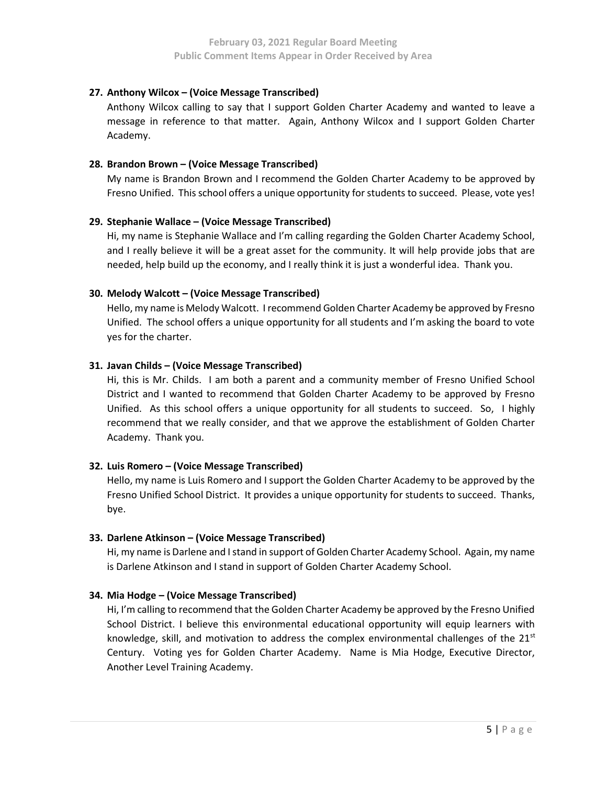## 27. Anthony Wilcox – (Voice Message Transcribed)

Anthony Wilcox calling to say that I support Golden Charter Academy and wanted to leave a message in reference to that matter. Again, Anthony Wilcox and I support Golden Charter Academy.

# 28. Brandon Brown – (Voice Message Transcribed)

My name is Brandon Brown and I recommend the Golden Charter Academy to be approved by Fresno Unified. This school offers a unique opportunity for students to succeed. Please, vote yes!

## 29. Stephanie Wallace – (Voice Message Transcribed)

Hi, my name is Stephanie Wallace and I'm calling regarding the Golden Charter Academy School, and I really believe it will be a great asset for the community. It will help provide jobs that are needed, help build up the economy, and I really think it is just a wonderful idea. Thank you.

# 30. Melody Walcott – (Voice Message Transcribed)

Hello, my name is Melody Walcott. I recommend Golden Charter Academy be approved by Fresno Unified. The school offers a unique opportunity for all students and I'm asking the board to vote yes for the charter.

# 31. Javan Childs – (Voice Message Transcribed)

Hi, this is Mr. Childs. I am both a parent and a community member of Fresno Unified School District and I wanted to recommend that Golden Charter Academy to be approved by Fresno Unified. As this school offers a unique opportunity for all students to succeed. So, I highly recommend that we really consider, and that we approve the establishment of Golden Charter Academy. Thank you.

# 32. Luis Romero – (Voice Message Transcribed)

Hello, my name is Luis Romero and I support the Golden Charter Academy to be approved by the Fresno Unified School District. It provides a unique opportunity for students to succeed. Thanks, bye.

## 33. Darlene Atkinson – (Voice Message Transcribed)

Hi, my name is Darlene and I stand in support of Golden Charter Academy School. Again, my name is Darlene Atkinson and I stand in support of Golden Charter Academy School.

## 34. Mia Hodge – (Voice Message Transcribed)

Hi, I'm calling to recommend that the Golden Charter Academy be approved by the Fresno Unified School District. I believe this environmental educational opportunity will equip learners with knowledge, skill, and motivation to address the complex environmental challenges of the  $21<sup>st</sup>$ Century. Voting yes for Golden Charter Academy. Name is Mia Hodge, Executive Director, Another Level Training Academy.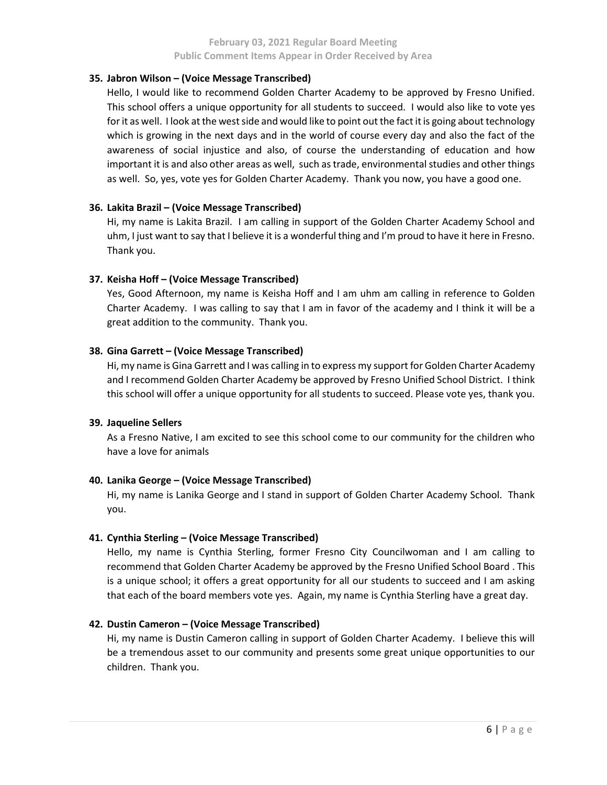## 35. Jabron Wilson – (Voice Message Transcribed)

Hello, I would like to recommend Golden Charter Academy to be approved by Fresno Unified. This school offers a unique opportunity for all students to succeed. I would also like to vote yes for it as well. I look at the west side and would like to point out the fact it is going about technology which is growing in the next days and in the world of course every day and also the fact of the awareness of social injustice and also, of course the understanding of education and how important it is and also other areas as well, such as trade, environmental studies and other things as well. So, yes, vote yes for Golden Charter Academy. Thank you now, you have a good one.

## 36. Lakita Brazil – (Voice Message Transcribed)

Hi, my name is Lakita Brazil. I am calling in support of the Golden Charter Academy School and uhm, I just want to say that I believe it is a wonderful thing and I'm proud to have it here in Fresno. Thank you.

### 37. Keisha Hoff – (Voice Message Transcribed)

Yes, Good Afternoon, my name is Keisha Hoff and I am uhm am calling in reference to Golden Charter Academy. I was calling to say that I am in favor of the academy and I think it will be a great addition to the community. Thank you.

### 38. Gina Garrett – (Voice Message Transcribed)

Hi, my name is Gina Garrett and I was calling in to express my support for Golden Charter Academy and I recommend Golden Charter Academy be approved by Fresno Unified School District. I think this school will offer a unique opportunity for all students to succeed. Please vote yes, thank you.

#### 39. Jaqueline Sellers

As a Fresno Native, I am excited to see this school come to our community for the children who have a love for animals

#### 40. Lanika George – (Voice Message Transcribed)

Hi, my name is Lanika George and I stand in support of Golden Charter Academy School. Thank you.

#### 41. Cynthia Sterling – (Voice Message Transcribed)

Hello, my name is Cynthia Sterling, former Fresno City Councilwoman and I am calling to recommend that Golden Charter Academy be approved by the Fresno Unified School Board . This is a unique school; it offers a great opportunity for all our students to succeed and I am asking that each of the board members vote yes. Again, my name is Cynthia Sterling have a great day.

## 42. Dustin Cameron – (Voice Message Transcribed)

Hi, my name is Dustin Cameron calling in support of Golden Charter Academy. I believe this will be a tremendous asset to our community and presents some great unique opportunities to our children. Thank you.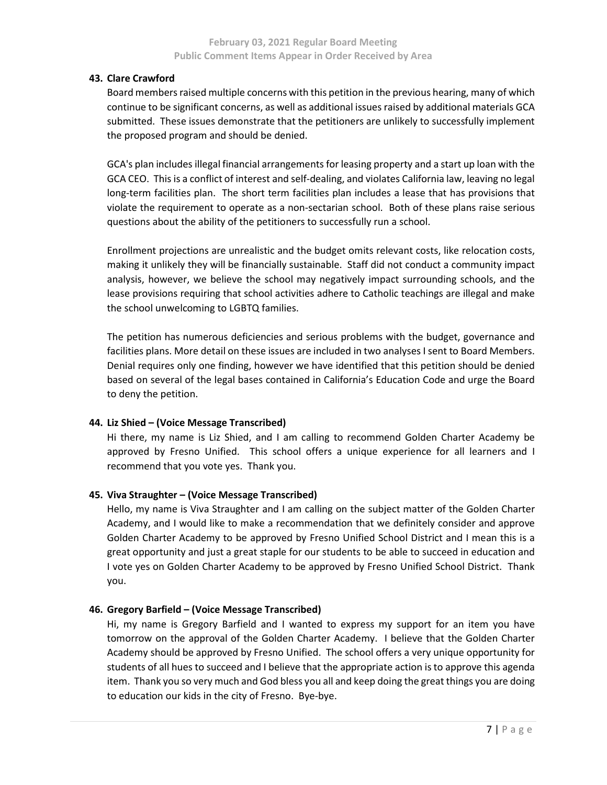### February 03, 2021 Regular Board Meeting Public Comment Items Appear in Order Received by Area

## 43. Clare Crawford

Board members raised multiple concerns with this petition in the previous hearing, many of which continue to be significant concerns, as well as additional issues raised by additional materials GCA submitted. These issues demonstrate that the petitioners are unlikely to successfully implement the proposed program and should be denied.

GCA's plan includes illegal financial arrangements for leasing property and a start up loan with the GCA CEO. This is a conflict of interest and self-dealing, and violates California law, leaving no legal long-term facilities plan. The short term facilities plan includes a lease that has provisions that violate the requirement to operate as a non-sectarian school. Both of these plans raise serious questions about the ability of the petitioners to successfully run a school.

Enrollment projections are unrealistic and the budget omits relevant costs, like relocation costs, making it unlikely they will be financially sustainable. Staff did not conduct a community impact analysis, however, we believe the school may negatively impact surrounding schools, and the lease provisions requiring that school activities adhere to Catholic teachings are illegal and make the school unwelcoming to LGBTQ families.

The petition has numerous deficiencies and serious problems with the budget, governance and facilities plans. More detail on these issues are included in two analyses I sent to Board Members. Denial requires only one finding, however we have identified that this petition should be denied based on several of the legal bases contained in California's Education Code and urge the Board to deny the petition.

## 44. Liz Shied – (Voice Message Transcribed)

Hi there, my name is Liz Shied, and I am calling to recommend Golden Charter Academy be approved by Fresno Unified. This school offers a unique experience for all learners and I recommend that you vote yes. Thank you.

# 45. Viva Straughter – (Voice Message Transcribed)

Hello, my name is Viva Straughter and I am calling on the subject matter of the Golden Charter Academy, and I would like to make a recommendation that we definitely consider and approve Golden Charter Academy to be approved by Fresno Unified School District and I mean this is a great opportunity and just a great staple for our students to be able to succeed in education and I vote yes on Golden Charter Academy to be approved by Fresno Unified School District. Thank you.

## 46. Gregory Barfield – (Voice Message Transcribed)

Hi, my name is Gregory Barfield and I wanted to express my support for an item you have tomorrow on the approval of the Golden Charter Academy. I believe that the Golden Charter Academy should be approved by Fresno Unified. The school offers a very unique opportunity for students of all hues to succeed and I believe that the appropriate action is to approve this agenda item. Thank you so very much and God bless you all and keep doing the great things you are doing to education our kids in the city of Fresno. Bye-bye.